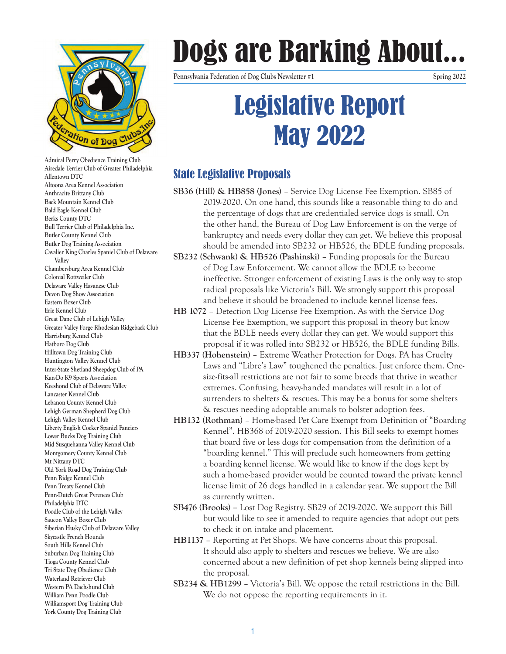

**Admiral Perry Obedience Training Club Airedale Terrier Club of Greater Philadelphia Allentown DTC Altoona Area Kennel Association Anthracite Brittany Club Back Mountain Kennel Club Bald Eagle Kennel Club Berks County DTC Bull Terrier Club of Philadelphia Inc. Butler County Kennel Club Butler Dog Training Association Cavalier King Charles Spaniel Club of Delaware Valley Chambersburg Area Kennel Club Colonial Rottweiler Club Delaware Valley Havanese Club Devon Dog Show Association Eastern Boxer Club Erie Kennel Club Great Dane Club of Lehigh Valley Greater Valley Forge Rhodesian Ridgeback Club Harrisburg Kennel Club Hatboro Dog Club Hilltown Dog Training Club Huntington Valley Kennel Club Inter-State Shetland Sheepdog Club of PA Kan-Do K9 Sports Association Keeshond Club of Delaware Valley Lancaster Kennel Club Lebanon County Kennel Club Lehigh German Shepherd Dog Club Lehigh Valley Kennel Club Liberty English Cocker Spaniel Fanciers Lower Bucks Dog Training Club Mid Susquehanna Valley Kennel Club Montgomery County Kennel Club Mt Nittany DTC Old York Road Dog Training Club Penn Ridge Kennel Club Penn Treaty Kennel Club Penn-Dutch Great Pyrenees Club Philadelphia DTC Poodle Club of the Lehigh Valley Saucon Valley Boxer Club Siberian Husky Club of Delaware Valley Skycastle French Hounds South Hills Kennel Club Suburban Dog Training Club Tioga County Kennel Club Tri State Dog Obedience Club Waterland Retriever Club Western PA Dachshund Club William Penn Poodle Club Williamsport Dog Training Club York County Dog Training Club**

# Dogs are Barking About...

**Pennsylvania Federation of Dog Clubs Newsletter #1 Spring 2022**

## Legislative Report May 2022

### State Legislative Proposals

- **SB36 (Hill) & HB858 (Jones)**  Service Dog License Fee Exemption. SB85 of 2019-2020. On one hand, this sounds like a reasonable thing to do and the percentage of dogs that are credentialed service dogs is small. On the other hand, the Bureau of Dog Law Enforcement is on the verge of bankruptcy and needs every dollar they can get. We believe this proposal should be amended into SB232 or HB526, the BDLE funding proposals.
- **SB232 (Schwank) & HB526 (Pashinski)**  Funding proposals for the Bureau of Dog Law Enforcement. We cannot allow the BDLE to become ineffective. Stronger enforcement of existing Laws is the only way to stop radical proposals like Victoria's Bill. We strongly support this proposal and believe it should be broadened to include kennel license fees.
- **HB 1072**  Detection Dog License Fee Exemption. As with the Service Dog License Fee Exemption, we support this proposal in theory but know that the BDLE needs every dollar they can get. We would support this proposal if it was rolled into SB232 or HB526, the BDLE funding Bills.
- **HB337 (Hohenstein)**  Extreme Weather Protection for Dogs. PA has Cruelty Laws and "Libre's Law" toughened the penalties. Just enforce them. Onesize-fits-all restrictions are not fair to some breeds that thrive in weather extremes. Confusing, heavy-handed mandates will result in a lot of surrenders to shelters & rescues. This may be a bonus for some shelters & rescues needing adoptable animals to bolster adoption fees.
- **HB132 (Rothman)**  Home-based Pet Care Exempt from Definition of "Boarding Kennel". HB368 of 2019-2020 session. This Bill seeks to exempt homes that board five or less dogs for compensation from the definition of a "boarding kennel." This will preclude such homeowners from getting a boarding kennel license. We would like to know if the dogs kept by such a home-based provider would be counted toward the private kennel license limit of 26 dogs handled in a calendar year. We support the Bill as currently written.
- **SB476 (Brooks)** Lost Dog Registry. SB29 of 2019-2020. We support this Bill but would like to see it amended to require agencies that adopt out pets to check it on intake and placement.
- **HB1137**  Reporting at Pet Shops. We have concerns about this proposal. It should also apply to shelters and rescues we believe. We are also concerned about a new definition of pet shop kennels being slipped into the proposal.
- **SB234 & HB1299**  Victoria's Bill. We oppose the retail restrictions in the Bill. We do not oppose the reporting requirements in it.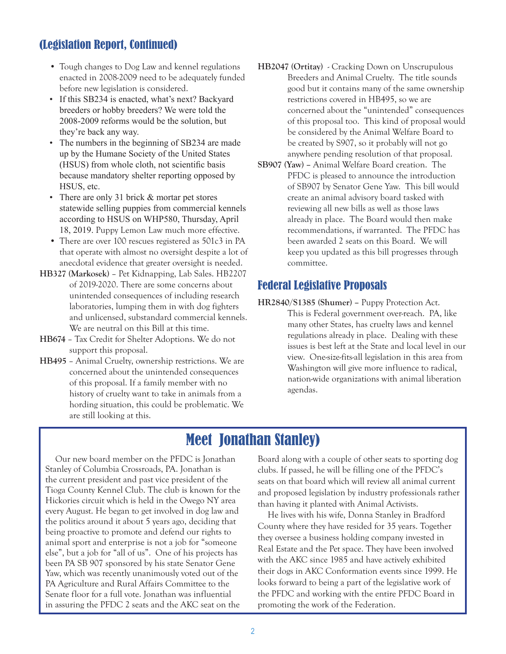### (Legislation Report, Continued)

- Tough changes to Dog Law and kennel regulations enacted in 2008-2009 need to be adequately funded before new legislation is considered.
- If this SB234 is enacted, what's next? Backyard breeders or hobby breeders? We were told the 2008-2009 reforms would be the solution, but they're back any way.
- The numbers in the beginning of SB234 are made up by the Humane Society of the United States (HSUS) from whole cloth, not scientific basis because mandatory shelter reporting opposed by HSUS, etc.
- There are only 31 brick & mortar pet stores statewide selling puppies from commercial kennels according to HSUS on WHP580, Thursday, April 18, 2019. Puppy Lemon Law much more effective.
- There are over 100 rescues registered as 501c3 in PA that operate with almost no oversight despite a lot of anecdotal evidence that greater oversight is needed.
- **HB327 (Markosek)**  Pet Kidnapping, Lab Sales. HB2207 of 2019-2020. There are some concerns about unintended consequences of including research laboratories, lumping them in with dog fighters and unlicensed, substandard commercial kennels. We are neutral on this Bill at this time.
- **HB674**  Tax Credit for Shelter Adoptions. We do not support this proposal.
- **HB495**  Animal Cruelty, ownership restrictions. We are concerned about the unintended consequences of this proposal. If a family member with no history of cruelty want to take in animals from a hording situation, this could be problematic. We are still looking at this.
- **HB2047 (Ortitay)**  Cracking Down on Unscrupulous Breeders and Animal Cruelty. The title sounds good but it contains many of the same ownership restrictions covered in HB495, so we are concerned about the "unintended" consequences of this proposal too. This kind of proposal would be considered by the Animal Welfare Board to be created by S907, so it probably will not go anywhere pending resolution of that proposal.
- **SB907 (Yaw)** Animal Welfare Board creation. The PFDC is pleased to announce the introduction of SB907 by Senator Gene Yaw. This bill would create an animal advisory board tasked with reviewing all new bills as well as those laws already in place. The Board would then make recommendations, if warranted. The PFDC has been awarded 2 seats on this Board. We will keep you updated as this bill progresses through committee.

#### Federal Legislative Proposals

**HR2840/S1385 (Shumer) –** Puppy Protection Act. This is Federal government over-reach. PA, like many other States, has cruelty laws and kennel regulations already in place. Dealing with these issues is best left at the State and local level in our view. One-size-fits-all legislation in this area from Washington will give more influence to radical, nation-wide organizations with animal liberation agendas.

## Meet Jonathan Stanley)

Our new board member on the PFDC is Jonathan Stanley of Columbia Crossroads, PA. Jonathan is the current president and past vice president of the Tioga County Kennel Club. The club is known for the Hickories circuit which is held in the Owego NY area every August. He began to get involved in dog law and the politics around it about 5 years ago, deciding that being proactive to promote and defend our rights to animal sport and enterprise is not a job for "someone else", but a job for "all of us". One of his projects has been PA SB 907 sponsored by his state Senator Gene Yaw, which was recently unanimously voted out of the PA Agriculture and Rural Affairs Committee to the Senate floor for a full vote. Jonathan was influential in assuring the PFDC 2 seats and the AKC seat on the Board along with a couple of other seats to sporting dog clubs. If passed, he will be filling one of the PFDC's seats on that board which will review all animal current and proposed legislation by industry professionals rather than having it planted with Animal Activists.

He lives with his wife, Donna Stanley in Bradford County where they have resided for 35 years. Together they oversee a business holding company invested in Real Estate and the Pet space. They have been involved with the AKC since 1985 and have actively exhibited their dogs in AKC Conformation events since 1999. He looks forward to being a part of the legislative work of the PFDC and working with the entire PFDC Board in promoting the work of the Federation.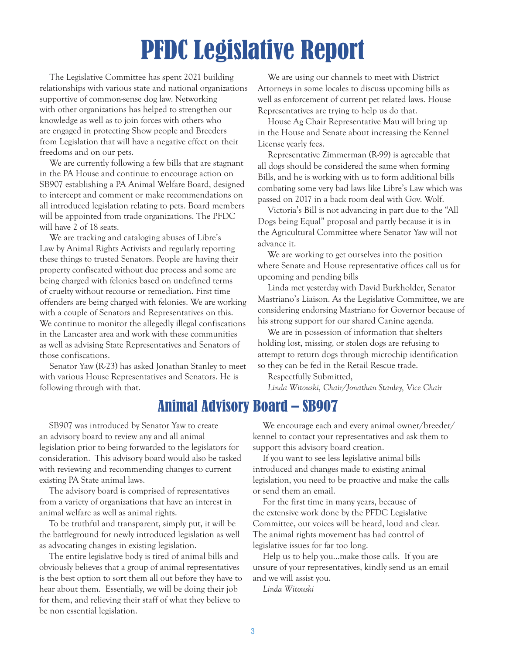## PFDC Legislative Report

The Legislative Committee has spent 2021 building relationships with various state and national organizations supportive of common-sense dog law. Networking with other organizations has helped to strengthen our knowledge as well as to join forces with others who are engaged in protecting Show people and Breeders from Legislation that will have a negative effect on their freedoms and on our pets.

We are currently following a few bills that are stagnant in the PA House and continue to encourage action on SB907 establishing a PA Animal Welfare Board, designed to intercept and comment or make recommendations on all introduced legislation relating to pets. Board members will be appointed from trade organizations. The PFDC will have 2 of 18 seats.

We are tracking and cataloging abuses of Libre's Law by Animal Rights Activists and regularly reporting these things to trusted Senators. People are having their property confiscated without due process and some are being charged with felonies based on undefined terms of cruelty without recourse or remediation. First time offenders are being charged with felonies. We are working with a couple of Senators and Representatives on this. We continue to monitor the allegedly illegal confiscations in the Lancaster area and work with these communities as well as advising State Representatives and Senators of those confiscations.

Senator Yaw (R-23) has asked Jonathan Stanley to meet with various House Representatives and Senators. He is following through with that.

We are using our channels to meet with District Attorneys in some locales to discuss upcoming bills as well as enforcement of current pet related laws. House Representatives are trying to help us do that.

House Ag Chair Representative Mau will bring up in the House and Senate about increasing the Kennel License yearly fees.

Representative Zimmerman (R-99) is agreeable that all dogs should be considered the same when forming Bills, and he is working with us to form additional bills combating some very bad laws like Libre's Law which was passed on 2017 in a back room deal with Gov. Wolf.

Victoria's Bill is not advancing in part due to the "All Dogs being Equal" proposal and partly because it is in the Agricultural Committee where Senator Yaw will not advance it.

We are working to get ourselves into the position where Senate and House representative offices call us for upcoming and pending bills

Linda met yesterday with David Burkholder, Senator Mastriano's Liaison. As the Legislative Committee, we are considering endorsing Mastriano for Governor because of his strong support for our shared Canine agenda.

We are in possession of information that shelters holding lost, missing, or stolen dogs are refusing to attempt to return dogs through microchip identification so they can be fed in the Retail Rescue trade.

Respectfully Submitted,

*Linda Witouski, Chair/Jonathan Stanley, Vice Chair*

## Animal Advisory Board – SB907

SB907 was introduced by Senator Yaw to create an advisory board to review any and all animal legislation prior to being forwarded to the legislators for consideration. This advisory board would also be tasked with reviewing and recommending changes to current existing PA State animal laws.

The advisory board is comprised of representatives from a variety of organizations that have an interest in animal welfare as well as animal rights.

To be truthful and transparent, simply put, it will be the battleground for newly introduced legislation as well as advocating changes in existing legislation.

The entire legislative body is tired of animal bills and obviously believes that a group of animal representatives is the best option to sort them all out before they have to hear about them. Essentially, we will be doing their job for them, and relieving their staff of what they believe to be non essential legislation.

We encourage each and every animal owner/breeder/ kennel to contact your representatives and ask them to support this advisory board creation.

If you want to see less legislative animal bills introduced and changes made to existing animal legislation, you need to be proactive and make the calls or send them an email.

For the first time in many years, because of the extensive work done by the PFDC Legislative Committee, our voices will be heard, loud and clear. The animal rights movement has had control of legislative issues for far too long.

Help us to help you...make those calls. If you are unsure of your representatives, kindly send us an email and we will assist you.

*Linda Witouski*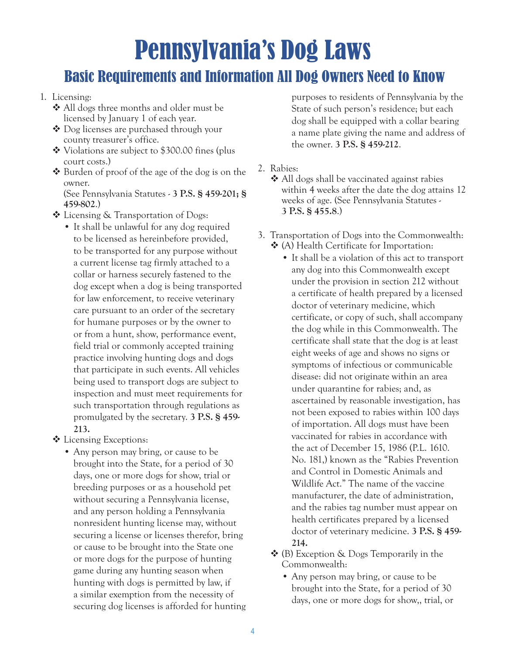## Pennsylvania's Dog Laws

## Basic Requirements and Information All Dog Owners Need to Know

#### 1. Licensing:

- All dogs three months and older must be licensed by January 1 of each year.
- Dog licenses are purchased through your county treasurer's office.
- Violations are subject to \$300.00 fines (plus court costs.)
- $\triangle$  Burden of proof of the age of the dog is on the owner.

(See Pennsylvania Statutes - **3 P.S. § 459-201; § 459-802**.)

- Licensing & Transportation of Dogs:
	- It shall be unlawful for any dog required to be licensed as hereinbefore provided, to be transported for any purpose without a current license tag firmly attached to a collar or harness securely fastened to the dog except when a dog is being transported for law enforcement, to receive veterinary care pursuant to an order of the secretary for humane purposes or by the owner to or from a hunt, show, performance event, field trial or commonly accepted training practice involving hunting dogs and dogs that participate in such events. All vehicles being used to transport dogs are subject to inspection and must meet requirements for such transportation through regulations as promulgated by the secretary. **3 P.S. § 459- 213.**
- Licensing Exceptions:
	- Any person may bring, or cause to be brought into the State, for a period of 30 days, one or more dogs for show, trial or breeding purposes or as a household pet without securing a Pennsylvania license, and any person holding a Pennsylvania nonresident hunting license may, without securing a license or licenses therefor, bring or cause to be brought into the State one or more dogs for the purpose of hunting game during any hunting season when hunting with dogs is permitted by law, if a similar exemption from the necessity of securing dog licenses is afforded for hunting

purposes to residents of Pennsylvania by the State of such person's residence; but each dog shall be equipped with a collar bearing a name plate giving the name and address of the owner. **3 P.S. § 459-212**.

- 2. Rabies:
	- All dogs shall be vaccinated against rabies within 4 weeks after the date the dog attains 12 weeks of age. (See Pennsylvania Statutes - **3 P.S. § 455.8**.)
- 3. Transportation of Dogs into the Commonwealth: (A) Health Certificate for Importation:
	- It shall be a violation of this act to transport any dog into this Commonwealth except under the provision in section 212 without a certificate of health prepared by a licensed doctor of veterinary medicine, which certificate, or copy of such, shall accompany the dog while in this Commonwealth. The certificate shall state that the dog is at least eight weeks of age and shows no signs or symptoms of infectious or communicable disease: did not originate within an area under quarantine for rabies; and, as ascertained by reasonable investigation, has not been exposed to rabies within 100 days of importation. All dogs must have been vaccinated for rabies in accordance with the act of December 15, 1986 (P.L. 1610. No. 181,) known as the "Rabies Prevention and Control in Domestic Animals and Wildlife Act." The name of the vaccine manufacturer, the date of administration, and the rabies tag number must appear on health certificates prepared by a licensed doctor of veterinary medicine. **3 P.S. § 459- 214.**
	- (B) Exception & Dogs Temporarily in the Commonwealth:
		- Any person may bring, or cause to be brought into the State, for a period of 30 days, one or more dogs for show,, trial, or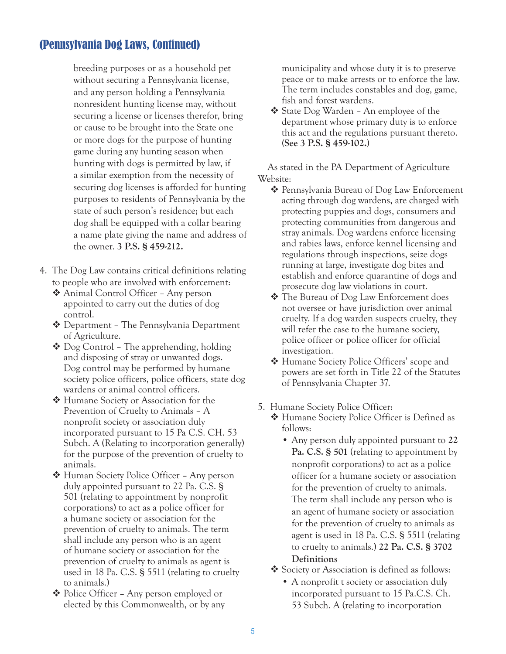### (Pennsylvania Dog Laws, Continued)

breeding purposes or as a household pet without securing a Pennsylvania license, and any person holding a Pennsylvania nonresident hunting license may, without securing a license or licenses therefor, bring or cause to be brought into the State one or more dogs for the purpose of hunting game during any hunting season when hunting with dogs is permitted by law, if a similar exemption from the necessity of securing dog licenses is afforded for hunting purposes to residents of Pennsylvania by the state of such person's residence; but each dog shall be equipped with a collar bearing a name plate giving the name and address of the owner. **3 P.S. § 459-212.**

- 4. The Dog Law contains critical definitions relating to people who are involved with enforcement:
	- Animal Control Officer Any person appointed to carry out the duties of dog control.
	- Department The Pennsylvania Department of Agriculture.
	- Dog Control The apprehending, holding and disposing of stray or unwanted dogs. Dog control may be performed by humane society police officers, police officers, state dog wardens or animal control officers.
	- Humane Society or Association for the Prevention of Cruelty to Animals – A nonprofit society or association duly incorporated pursuant to 15 Pa C.S. CH. 53 Subch. A (Relating to incorporation generally) for the purpose of the prevention of cruelty to animals.
	- Human Society Police Officer Any person duly appointed pursuant to 22 Pa. C.S. § 501 (relating to appointment by nonprofit corporations) to act as a police officer for a humane society or association for the prevention of cruelty to animals. The term shall include any person who is an agent of humane society or association for the prevention of cruelty to animals as agent is used in 18 Pa. C.S. § 5511 (relating to cruelty to animals.)
	- Police Officer Any person employed or elected by this Commonwealth, or by any

municipality and whose duty it is to preserve peace or to make arrests or to enforce the law. The term includes constables and dog, game, fish and forest wardens.

 State Dog Warden – An employee of the department whose primary duty is to enforce this act and the regulations pursuant thereto. **(See 3 P.S. § 459-102.)**

As stated in the PA Department of Agriculture Website:

- ❖ Pennsylvania Bureau of Dog Law Enforcement acting through dog wardens, are charged with protecting puppies and dogs, consumers and protecting communities from dangerous and stray animals. Dog wardens enforce licensing and rabies laws, enforce kennel licensing and regulations through inspections, seize dogs running at large, investigate dog bites and establish and enforce quarantine of dogs and prosecute dog law violations in court.
- The Bureau of Dog Law Enforcement does not oversee or have jurisdiction over animal cruelty. If a dog warden suspects cruelty, they will refer the case to the humane society, police officer or police officer for official investigation.
- Humane Society Police Officers' scope and powers are set forth in Title 22 of the Statutes of Pennsylvania Chapter 37.
- 5. Humane Society Police Officer:
	- Humane Society Police Officer is Defined as follows:
		- Any person duly appointed pursuant to **22 Pa. C.S. § 501** (relating to appointment by nonprofit corporations) to act as a police officer for a humane society or association for the prevention of cruelty to animals. The term shall include any person who is an agent of humane society or association for the prevention of cruelty to animals as agent is used in 18 Pa. C.S. § 5511 (relating to cruelty to animals.) **22 Pa. C.S. § 3702 Definitions**
	- Society or Association is defined as follows:
		- A nonprofit t society or association duly incorporated pursuant to 15 Pa.C.S. Ch. 53 Subch. A (relating to incorporation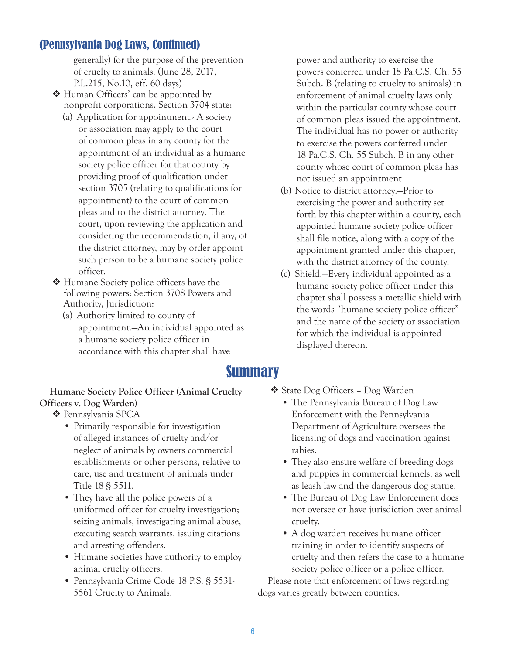#### (Pennsylvania Dog Laws, Continued)

generally) for the purpose of the prevention of cruelty to animals. (June 28, 2017, P.L.215, No.10, eff. 60 days)

- $\triangleleft$  Human Officers' can be appointed by nonprofit corporations. Section 3704 state:
	- (a) Application for appointment.- A society or association may apply to the court of common pleas in any county for the appointment of an individual as a humane society police officer for that county by providing proof of qualification under section 3705 (relating to qualifications for appointment) to the court of common pleas and to the district attorney. The court, upon reviewing the application and considering the recommendation, if any, of the district attorney, may by order appoint such person to be a humane society police officer.
- ❖ Humane Society police officers have the following powers: Section 3708 Powers and Authority, Jurisdiction:
	- (a) Authority limited to county of appointment.—An individual appointed as a humane society police officer in accordance with this chapter shall have

power and authority to exercise the powers conferred under 18 Pa.C.S. Ch. 55 Subch. B (relating to cruelty to animals) in enforcement of animal cruelty laws only within the particular county whose court of common pleas issued the appointment. The individual has no power or authority to exercise the powers conferred under 18 Pa.C.S. Ch. 55 Subch. B in any other county whose court of common pleas has not issued an appointment.

- (b) Notice to district attorney.—Prior to exercising the power and authority set forth by this chapter within a county, each appointed humane society police officer shall file notice, along with a copy of the appointment granted under this chapter, with the district attorney of the county.
- (c) Shield.—Every individual appointed as a humane society police officer under this chapter shall possess a metallic shield with the words "humane society police officer" and the name of the society or association for which the individual is appointed displayed thereon.

### Summary

#### **Humane Society Police Officer (Animal Cruelty Officers v. Dog Warden)**

 $\triangle$  Pennsylvania SPCA

- Primarily responsible for investigation of alleged instances of cruelty and/or neglect of animals by owners commercial establishments or other persons, relative to care, use and treatment of animals under Title 18 § 5511.
- They have all the police powers of a uniformed officer for cruelty investigation; seizing animals, investigating animal abuse, executing search warrants, issuing citations and arresting offenders.
- Humane societies have authority to employ animal cruelty officers.
- Pennsylvania Crime Code 18 P.S. § 5531- 5561 Cruelty to Animals.
- State Dog Officers Dog Warden
	- The Pennsylvania Bureau of Dog Law Enforcement with the Pennsylvania Department of Agriculture oversees the licensing of dogs and vaccination against rabies.
	- They also ensure welfare of breeding dogs and puppies in commercial kennels, as well as leash law and the dangerous dog statue.
	- The Bureau of Dog Law Enforcement does not oversee or have jurisdiction over animal cruelty.
	- A dog warden receives humane officer training in order to identify suspects of cruelty and then refers the case to a humane society police officer or a police officer.

Please note that enforcement of laws regarding dogs varies greatly between counties.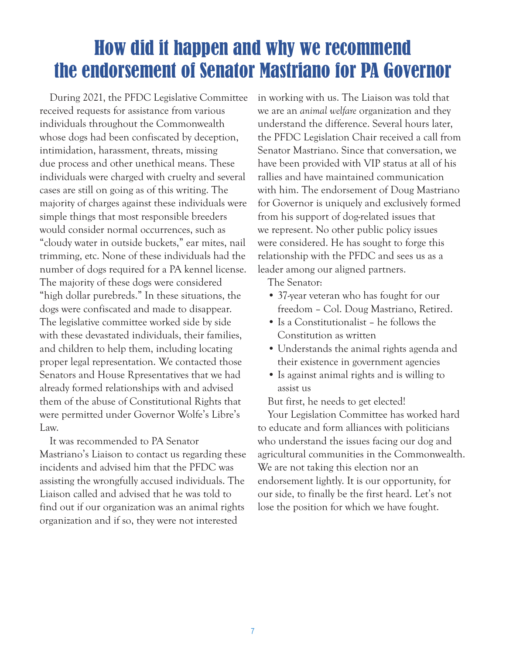## How did it happen and why we recommend the endorsement of Senator Mastriano for PA Governor

During 2021, the PFDC Legislative Committee received requests for assistance from various individuals throughout the Commonwealth whose dogs had been confiscated by deception, intimidation, harassment, threats, missing due process and other unethical means. These individuals were charged with cruelty and several cases are still on going as of this writing. The majority of charges against these individuals were simple things that most responsible breeders would consider normal occurrences, such as "cloudy water in outside buckets," ear mites, nail trimming, etc. None of these individuals had the number of dogs required for a PA kennel license. The majority of these dogs were considered "high dollar purebreds." In these situations, the dogs were confiscated and made to disappear. The legislative committee worked side by side with these devastated individuals, their families, and children to help them, including locating proper legal representation. We contacted those Senators and House Rpresentatives that we had already formed relationships with and advised them of the abuse of Constitutional Rights that were permitted under Governor Wolfe's Libre's Law.

It was recommended to PA Senator Mastriano's Liaison to contact us regarding these incidents and advised him that the PFDC was assisting the wrongfully accused individuals. The Liaison called and advised that he was told to find out if our organization was an animal rights organization and if so, they were not interested

in working with us. The Liaison was told that we are an *animal welfare* organization and they understand the difference. Several hours later, the PFDC Legislation Chair received a call from Senator Mastriano. Since that conversation, we have been provided with VIP status at all of his rallies and have maintained communication with him. The endorsement of Doug Mastriano for Governor is uniquely and exclusively formed from his support of dog-related issues that we represent. No other public policy issues were considered. He has sought to forge this relationship with the PFDC and sees us as a leader among our aligned partners.

The Senator:

- 37-year veteran who has fought for our freedom – Col. Doug Mastriano, Retired.
- Is a Constitutionalist he follows the Constitution as written
- Understands the animal rights agenda and their existence in government agencies
- Is against animal rights and is willing to assist us

But first, he needs to get elected!

Your Legislation Committee has worked hard to educate and form alliances with politicians who understand the issues facing our dog and agricultural communities in the Commonwealth. We are not taking this election nor an endorsement lightly. It is our opportunity, for our side, to finally be the first heard. Let's not lose the position for which we have fought.